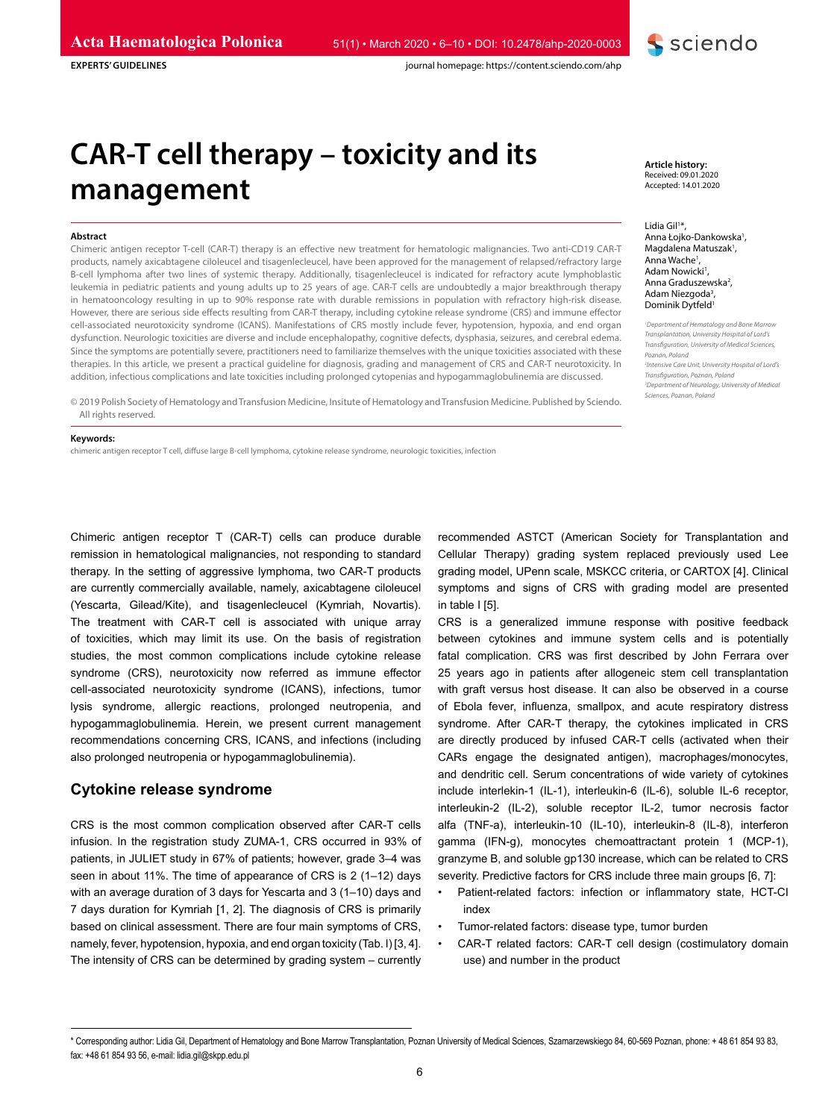**EXPERTS' GUIDELINES**



journal homepage: https://content.sciendo.com/ahp

# **CAR-T cell therapy – toxicity and its management**

#### **Abstract**

Chimeric antigen receptor T-cell (CAR-T) therapy is an effective new treatment for hematologic malignancies. Two anti-CD19 CAR-T products, namely axicabtagene ciloleucel and tisagenlecleucel, have been approved for the management of relapsed/refractory large B-cell lymphoma after two lines of systemic therapy. Additionally, tisagenlecleucel is indicated for refractory acute lymphoblastic leukemia in pediatric patients and young adults up to 25 years of age. CAR-T cells are undoubtedly a major breakthrough therapy in hematooncology resulting in up to 90% response rate with durable remissions in population with refractory high-risk disease. However, there are serious side effects resulting from CAR-T therapy, including cytokine release syndrome (CRS) and immune effector cell-associated neurotoxicity syndrome (ICANS). Manifestations of CRS mostly include fever, hypotension, hypoxia, and end organ dysfunction. Neurologic toxicities are diverse and include encephalopathy, cognitive defects, dysphasia, seizures, and cerebral edema. Since the symptoms are potentially severe, practitioners need to familiarize themselves with the unique toxicities associated with these therapies. In this article, we present a practical guideline for diagnosis, grading and management of CRS and CAR-T neurotoxicity. In addition, infectious complications and late toxicities including prolonged cytopenias and hypogammaglobulinemia are discussed.

© 2019 Polish Society of Hematology and Transfusion Medicine, Insitute of Hematology and Transfusion Medicine. Published by Sciendo. All rights reserved.

#### **Keywords:**

chimeric antigen receptor T cell, diffuse large B-cell lymphoma, cytokine release syndrome, neurologic toxicities, infection

Chimeric antigen receptor T (CAR-T) cells can produce durable remission in hematological malignancies, not responding to standard therapy. In the setting of aggressive lymphoma, two CAR-T products are currently commercially available, namely, axicabtagene ciloleucel (Yescarta, Gilead/Kite), and tisagenlecleucel (Kymriah, Novartis). The treatment with CAR-T cell is associated with unique array of toxicities, which may limit its use. On the basis of registration studies, the most common complications include cytokine release syndrome (CRS), neurotoxicity now referred as immune effector cell-associated neurotoxicity syndrome (ICANS), infections, tumor lysis syndrome, allergic reactions, prolonged neutropenia, and hypogammaglobulinemia. Herein, we present current management recommendations concerning CRS, ICANS, and infections (including also prolonged neutropenia or hypogammaglobulinemia).

# **Cytokine release syndrome**

CRS is the most common complication observed after CAR-T cells infusion. In the registration study ZUMA-1, CRS occurred in 93% of patients, in JULIET study in 67% of patients; however, grade 3–4 was seen in about 11%. The time of appearance of CRS is 2 (1–12) days with an average duration of 3 days for Yescarta and 3 (1–10) days and 7 days duration for Kymriah [1, 2]. The diagnosis of CRS is primarily based on clinical assessment. There are four main symptoms of CRS, namely, fever, hypotension, hypoxia, and end organ toxicity (Tab. I) [3, 4]. The intensity of CRS can be determined by grading system – currently recommended ASTCT (American Society for Transplantation and Cellular Therapy) grading system replaced previously used Lee grading model, UPenn scale, MSKCC criteria, or CARTOX [4]. Clinical symptoms and signs of CRS with grading model are presented in table I [5].

CRS is a generalized immune response with positive feedback between cytokines and immune system cells and is potentially fatal complication. CRS was first described by John Ferrara over 25 years ago in patients after allogeneic stem cell transplantation with graft versus host disease. It can also be observed in a course of Ebola fever, influenza, smallpox, and acute respiratory distress syndrome. After CAR-T therapy, the cytokines implicated in CRS are directly produced by infused CAR-T cells (activated when their CARs engage the designated antigen), macrophages/monocytes, and dendritic cell. Serum concentrations of wide variety of cytokines include interlekin-1 (IL-1), interleukin-6 (IL-6), soluble IL-6 receptor, interleukin-2 (IL-2), soluble receptor IL-2, tumor necrosis factor alfa (TNF-a), interleukin-10 (IL-10), interleukin-8 (IL-8), interferon gamma (IFN-g), monocytes chemoattractant protein 1 (MCP-1), granzyme B, and soluble gp130 increase, which can be related to CRS severity. Predictive factors for CRS include three main groups [6, 7]:

- Patient-related factors: infection or inflammatory state, HCT-CI index
- Tumor-related factors: disease type, tumor burden
- CAR-T related factors: CAR-T cell design (costimulatory domain use) and number in the product

**Article history:** Received: 09.01.2020 Accepted: 14.01.2020

Lidia Gil<sup>1\*</sup>, Anna Łojko-Dankowska<sup>1</sup>, Magdalena Matuszak<sup>1</sup>, Anna Wache<sup>1</sup>, Adam Nowicki<sup>1</sup>, Anna Graduszewska<sup>2</sup>, Adam Niezgoda<sup>3</sup>, Dominik Dytfeld1

*1 Department of Hematology and Bone Marrow Transplantation, University Hospital of Lord's Transfiguration, University of Medical Sciences, Poznan, Poland 2 Intensive Care Unit, University Hospital of Lord's Transfiguration, Poznan, Poland 3 Department of Neurology, University of Medical Sciences, Poznan, Poland*

<sup>\*</sup> Corresponding author: Lidia Gil, Department of Hematology and Bone Marrow Transplantation, Poznan University of Medical Sciences, Szamarzewskiego 84, 60-569 Poznan, phone: + 48 61 854 93 83, fax: +48 61 854 93 56, e-mail: lidia.gil@skpp.edu.pl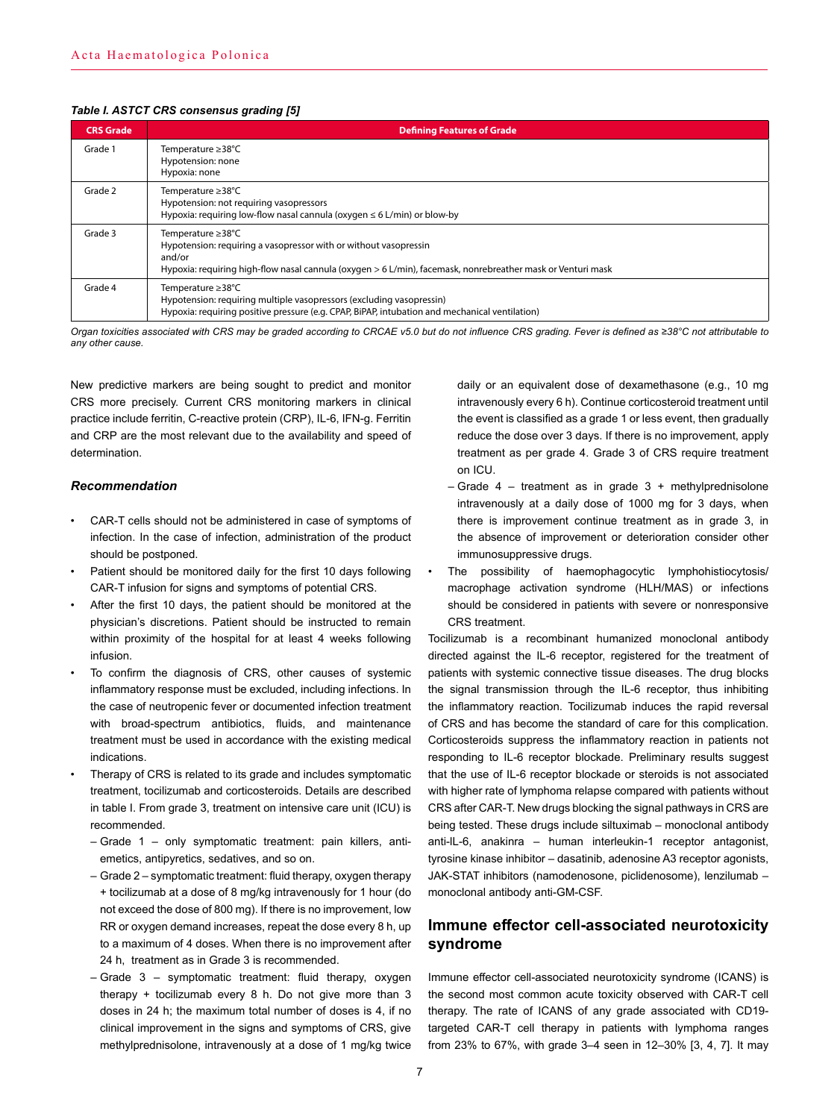#### *Table I. ASTCT CRS consensus grading [5]*

| <b>CRS</b> Grade | <b>Defining Features of Grade</b>                                                                                                                                                                              |  |
|------------------|----------------------------------------------------------------------------------------------------------------------------------------------------------------------------------------------------------------|--|
| Grade 1          | Temperature ≥38°C<br>Hypotension: none<br>Hypoxia: none                                                                                                                                                        |  |
| Grade 2          | Temperature ≥38°C<br>Hypotension: not requiring vasopressors<br>Hypoxia: requiring low-flow nasal cannula (oxygen $\leq 6$ L/min) or blow-by                                                                   |  |
| Grade 3          | Temperature ≥38°C<br>Hypotension: requiring a vasopressor with or without vasopressin<br>and/or<br>Hypoxia: requiring high-flow nasal cannula (oxygen > 6 L/min), facemask, nonrebreather mask or Venturi mask |  |
| Grade 4          | Temperature ≥38°C<br>Hypotension: requiring multiple vasopressors (excluding vasopressin)<br>Hypoxia: requiring positive pressure (e.g. CPAP, BiPAP, intubation and mechanical ventilation)                    |  |

*Organ toxicities associated with CRS may be graded according to CRCAE v5.0 but do not influence CRS grading. Fever is defined as ≥38°C not attributable to any other cause.*

New predictive markers are being sought to predict and monitor CRS more precisely. Current CRS monitoring markers in clinical practice include ferritin, C-reactive protein (CRP), IL-6, IFN-g. Ferritin and CRP are the most relevant due to the availability and speed of determination.

## *Recommendation*

- CAR-T cells should not be administered in case of symptoms of infection. In the case of infection, administration of the product should be postponed.
- Patient should be monitored daily for the first 10 days following CAR-T infusion for signs and symptoms of potential CRS.
- After the first 10 days, the patient should be monitored at the physician's discretions. Patient should be instructed to remain within proximity of the hospital for at least 4 weeks following infusion.
- To confirm the diagnosis of CRS, other causes of systemic inflammatory response must be excluded, including infections. In the case of neutropenic fever or documented infection treatment with broad-spectrum antibiotics, fluids, and maintenance treatment must be used in accordance with the existing medical indications.
- Therapy of CRS is related to its grade and includes symptomatic treatment, tocilizumab and corticosteroids. Details are described in table I. From grade 3, treatment on intensive care unit (ICU) is recommended.
	- Grade 1 only symptomatic treatment: pain killers, antiemetics, antipyretics, sedatives, and so on.
	- Grade 2 symptomatic treatment: fluid therapy, oxygen therapy + tocilizumab at a dose of 8 mg/kg intravenously for 1 hour (do not exceed the dose of 800 mg). If there is no improvement, low RR or oxygen demand increases, repeat the dose every 8 h, up to a maximum of 4 doses. When there is no improvement after 24 h, treatment as in Grade 3 is recommended.
	- Grade 3 symptomatic treatment: fluid therapy, oxygen therapy + tocilizumab every 8 h. Do not give more than 3 doses in 24 h; the maximum total number of doses is 4, if no clinical improvement in the signs and symptoms of CRS, give methylprednisolone, intravenously at a dose of 1 mg/kg twice

daily or an equivalent dose of dexamethasone (e.g., 10 mg intravenously every 6 h). Continue corticosteroid treatment until the event is classified as a grade 1 or less event, then gradually reduce the dose over 3 days. If there is no improvement, apply treatment as per grade 4. Grade 3 of CRS require treatment on ICU.

- $-$  Grade 4 treatment as in grade 3 + methylprednisolone intravenously at a daily dose of 1000 mg for 3 days, when there is improvement continue treatment as in grade 3, in the absence of improvement or deterioration consider other immunosuppressive drugs.
- The possibility of haemophagocytic lymphohistiocytosis/ macrophage activation syndrome (HLH/MAS) or infections should be considered in patients with severe or nonresponsive CRS treatment.

Tocilizumab is a recombinant humanized monoclonal antibody directed against the IL-6 receptor, registered for the treatment of patients with systemic connective tissue diseases. The drug blocks the signal transmission through the IL-6 receptor, thus inhibiting the inflammatory reaction. Tocilizumab induces the rapid reversal of CRS and has become the standard of care for this complication. Corticosteroids suppress the inflammatory reaction in patients not responding to IL-6 receptor blockade. Preliminary results suggest that the use of IL-6 receptor blockade or steroids is not associated with higher rate of lymphoma relapse compared with patients without CRS after CAR-T. New drugs blocking the signal pathways in CRS are being tested. These drugs include siltuximab – monoclonal antibody anti-lL-6, anakinra – human interleukin-1 receptor antagonist, tyrosine kinase inhibitor – dasatinib, adenosine A3 receptor agonists, JAK-STAT inhibitors (namodenosone, piclidenosome), lenzilumab – monoclonal antibody anti-GM-CSF.

# **Immune effector cell-associated neurotoxicity syndrome**

Immune effector cell-associated neurotoxicity syndrome (ICANS) is the second most common acute toxicity observed with CAR-T cell therapy. The rate of ICANS of any grade associated with CD19 targeted CAR-T cell therapy in patients with lymphoma ranges from 23% to 67%, with grade 3–4 seen in 12–30% [3, 4, 7]. It may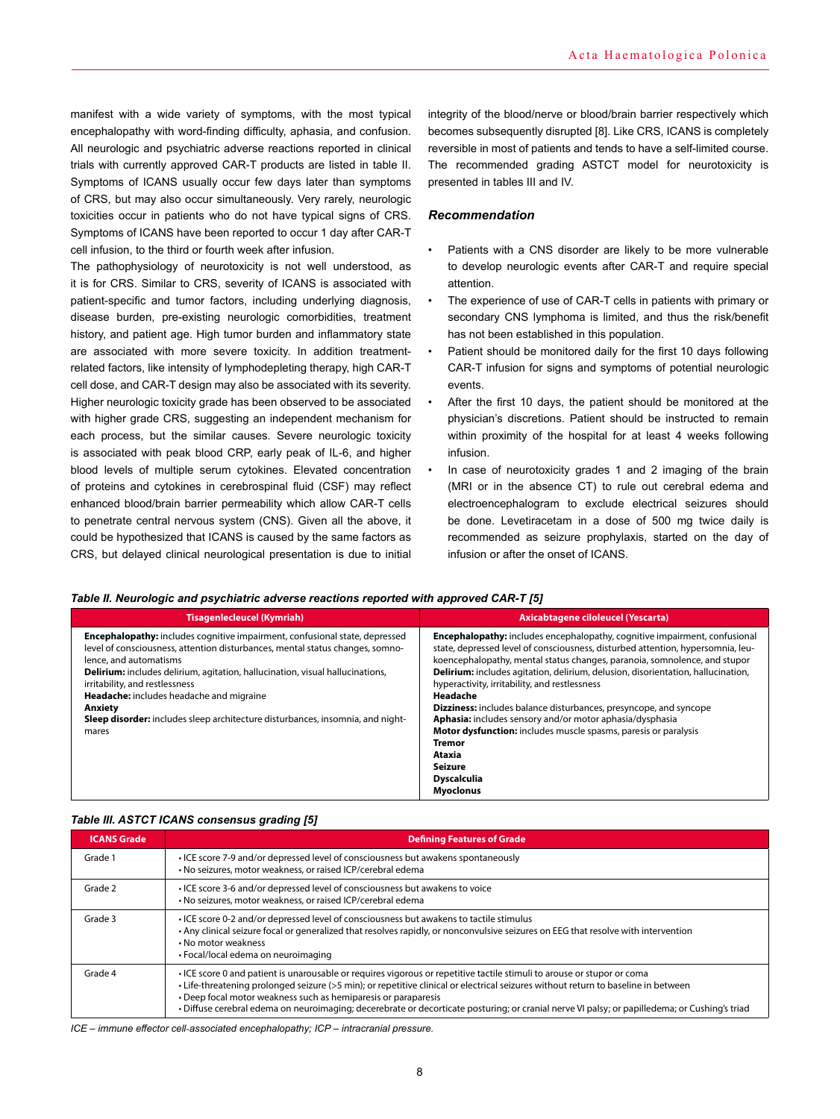manifest with a wide variety of symptoms, with the most typical encephalopathy with word-finding difficulty, aphasia, and confusion. All neurologic and psychiatric adverse reactions reported in clinical trials with currently approved CAR-T products are listed in table II. Symptoms of ICANS usually occur few days later than symptoms of CRS, but may also occur simultaneously. Very rarely, neurologic toxicities occur in patients who do not have typical signs of CRS. Symptoms of ICANS have been reported to occur 1 day after CAR-T cell infusion, to the third or fourth week after infusion.

The pathophysiology of neurotoxicity is not well understood, as it is for CRS. Similar to CRS, severity of ICANS is associated with patient-specific and tumor factors, including underlying diagnosis, disease burden, pre-existing neurologic comorbidities, treatment history, and patient age. High tumor burden and inflammatory state are associated with more severe toxicity. In addition treatmentrelated factors, like intensity of lymphodepleting therapy, high CAR-T cell dose, and CAR-T design may also be associated with its severity. Higher neurologic toxicity grade has been observed to be associated with higher grade CRS, suggesting an independent mechanism for each process, but the similar causes. Severe neurologic toxicity is associated with peak blood CRP, early peak of IL-6, and higher blood levels of multiple serum cytokines. Elevated concentration of proteins and cytokines in cerebrospinal fluid (CSF) may reflect enhanced blood/brain barrier permeability which allow CAR-T cells to penetrate central nervous system (CNS). Given all the above, it could be hypothesized that ICANS is caused by the same factors as CRS, but delayed clinical neurological presentation is due to initial

integrity of the blood/nerve or blood/brain barrier respectively which becomes subsequently disrupted [8]. Like CRS, ICANS is completely reversible in most of patients and tends to have a self-limited course. The recommended grading ASTCT model for neurotoxicity is presented in tables III and IV.

## *Recommendation*

- Patients with a CNS disorder are likely to be more vulnerable to develop neurologic events after CAR-T and require special attention.
- The experience of use of CAR-T cells in patients with primary or secondary CNS lymphoma is limited, and thus the risk/benefit has not been established in this population.
- Patient should be monitored daily for the first 10 days following CAR-T infusion for signs and symptoms of potential neurologic events.
- After the first 10 days, the patient should be monitored at the physician's discretions. Patient should be instructed to remain within proximity of the hospital for at least 4 weeks following infusion.
- In case of neurotoxicity grades 1 and 2 imaging of the brain (MRI or in the absence CT) to rule out cerebral edema and electroencephalogram to exclude electrical seizures should be done. Levetiracetam in a dose of 500 mg twice daily is recommended as seizure prophylaxis, started on the day of infusion or after the onset of ICANS.

#### *Table II. Neurologic and psychiatric adverse reactions reported with approved CAR-T [5]*

| <b>Tisagenlecleucel (Kymriah)</b>                                                                                                                                                                                                                                                                                                                                                                                                                                         | Axicabtagene ciloleucel (Yescarta)                                                                                                                                                                                                                                                                                                                                                                                                                                                                                                                                                                                                                                                                          |
|---------------------------------------------------------------------------------------------------------------------------------------------------------------------------------------------------------------------------------------------------------------------------------------------------------------------------------------------------------------------------------------------------------------------------------------------------------------------------|-------------------------------------------------------------------------------------------------------------------------------------------------------------------------------------------------------------------------------------------------------------------------------------------------------------------------------------------------------------------------------------------------------------------------------------------------------------------------------------------------------------------------------------------------------------------------------------------------------------------------------------------------------------------------------------------------------------|
| <b>Encephalopathy:</b> includes cognitive impairment, confusional state, depressed<br>level of consciousness, attention disturbances, mental status changes, somno-<br>lence, and automatisms<br><b>Delirium:</b> includes delirium, agitation, hallucination, visual hallucinations,<br>irritability, and restlessness<br>Headache: includes headache and migraine<br>Anxiety<br>Sleep disorder: includes sleep architecture disturbances, insomnia, and night-<br>mares | <b>Encephalopathy:</b> includes encephalopathy, cognitive impairment, confusional<br>state, depressed level of consciousness, disturbed attention, hypersomnia, leu-<br>koencephalopathy, mental status changes, paranoia, somnolence, and stupor<br><b>Delirium:</b> includes agitation, delirium, delusion, disorientation, hallucination,<br>hyperactivity, irritability, and restlessness<br>Headache<br><b>Dizziness:</b> includes balance disturbances, presyncope, and syncope<br>Aphasia: includes sensory and/or motor aphasia/dysphasia<br><b>Motor dysfunction:</b> includes muscle spasms, paresis or paralysis<br><b>Tremor</b><br>Ataxia<br>Seizure<br><b>Dyscalculia</b><br><b>Myoclonus</b> |

#### *Table III. ASTCT ICANS consensus grading [5]*

| <b>ICANS Grade</b> | <b>Defining Features of Grade</b>                                                                                                                                                                                                                                                                                                                                                                                                                                                |  |
|--------------------|----------------------------------------------------------------------------------------------------------------------------------------------------------------------------------------------------------------------------------------------------------------------------------------------------------------------------------------------------------------------------------------------------------------------------------------------------------------------------------|--|
| Grade 1            | • ICE score 7-9 and/or depressed level of consciousness but awakens spontaneously<br>• No seizures, motor weakness, or raised ICP/cerebral edema                                                                                                                                                                                                                                                                                                                                 |  |
| Grade 2            | • ICE score 3-6 and/or depressed level of consciousness but awakens to voice<br>• No seizures, motor weakness, or raised ICP/cerebral edema                                                                                                                                                                                                                                                                                                                                      |  |
| Grade 3            | . ICE score 0-2 and/or depressed level of consciousness but awakens to tactile stimulus<br>• Any clinical seizure focal or generalized that resolves rapidly, or nonconvulsive seizures on EEG that resolve with intervention<br>. No motor weakness<br>· Focal/local edema on neuroimaging                                                                                                                                                                                      |  |
| Grade 4            | • ICE score 0 and patient is unarousable or requires vigorous or repetitive tactile stimuli to arouse or stupor or coma<br>• Life-threatening prolonged seizure (>5 min); or repetitive clinical or electrical seizures without return to baseline in between<br>• Deep focal motor weakness such as hemiparesis or paraparesis<br>· Diffuse cerebral edema on neuroimaging; decerebrate or decorticate posturing; or cranial nerve VI palsy; or papilledema; or Cushing's triad |  |

*ICE – immune effector cell‐associated encephalopathy; ICP – intracranial pressure.*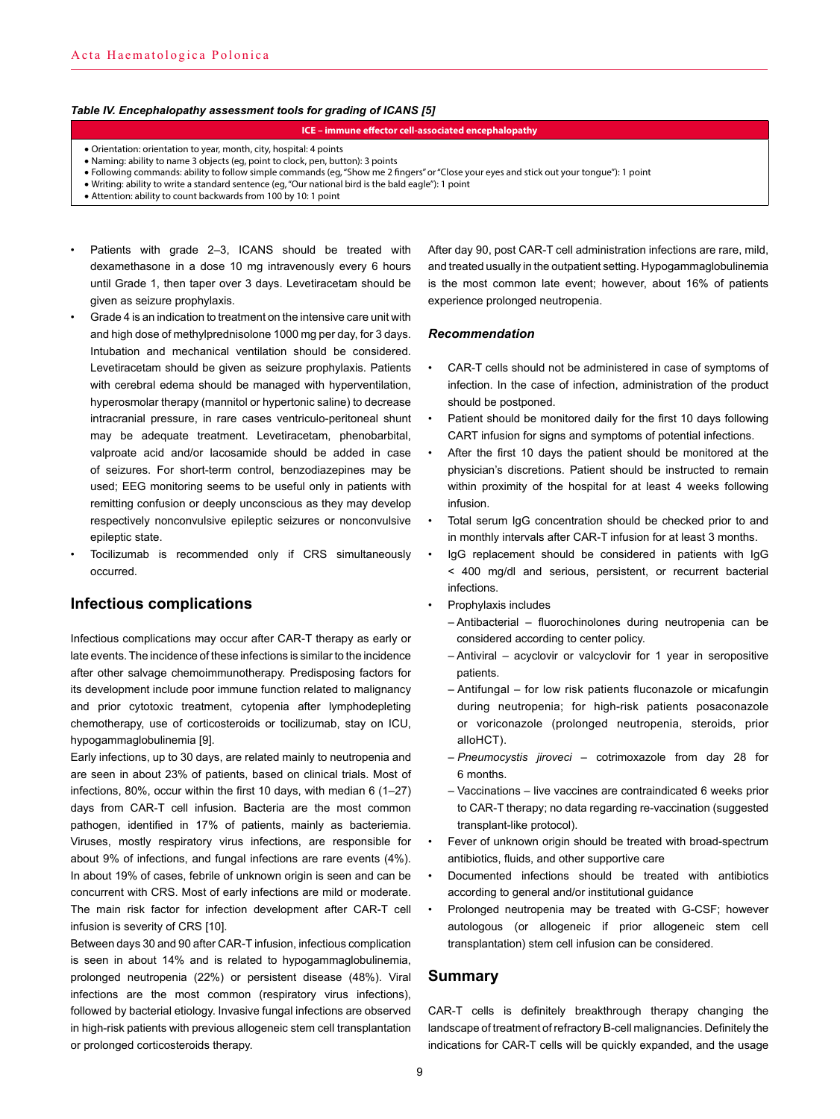## *Table IV. Encephalopathy assessment tools for grading of ICANS [5]*

#### **ICE – immune effector cell‐associated encephalopathy**

- Orientation: orientation to year, month, city, hospital: 4 points
- Naming: ability to name 3 objects (eg, point to clock, pen, button): 3 points
- Following commands: ability to follow simple commands (eg, "Show me 2 fingers" or "Close your eyes and stick out your tongue"): 1 point
- Writing: ability to write a standard sentence (eg, "Our national bird is the bald eagle"): 1 point
- Attention: ability to count backwards from 100 by 10: 1 point
- Patients with grade 2–3, ICANS should be treated with dexamethasone in a dose 10 mg intravenously every 6 hours until Grade 1, then taper over 3 days. Levetiracetam should be given as seizure prophylaxis.
- Grade 4 is an indication to treatment on the intensive care unit with and high dose of methylprednisolone 1000 mg per day, for 3 days. Intubation and mechanical ventilation should be considered. Levetiracetam should be given as seizure prophylaxis. Patients with cerebral edema should be managed with hyperventilation, hyperosmolar therapy (mannitol or hypertonic saline) to decrease intracranial pressure, in rare cases ventriculo-peritoneal shunt may be adequate treatment. Levetiracetam, phenobarbital, valproate acid and/or lacosamide should be added in case of seizures. For short-term control, benzodiazepines may be used; EEG monitoring seems to be useful only in patients with remitting confusion or deeply unconscious as they may develop respectively nonconvulsive epileptic seizures or nonconvulsive epileptic state.
- Tocilizumab is recommended only if CRS simultaneously occurred.

# **Infectious complications**

Infectious complications may occur after CAR-T therapy as early or late events. The incidence of these infections is similar to the incidence after other salvage chemoimmunotherapy. Predisposing factors for its development include poor immune function related to malignancy and prior cytotoxic treatment, cytopenia after lymphodepleting chemotherapy, use of corticosteroids or tocilizumab, stay on ICU, hypogammaglobulinemia [9].

Early infections, up to 30 days, are related mainly to neutropenia and are seen in about 23% of patients, based on clinical trials. Most of infections, 80%, occur within the first 10 days, with median 6 (1–27) days from CAR-T cell infusion. Bacteria are the most common pathogen, identified in 17% of patients, mainly as bacteriemia. Viruses, mostly respiratory virus infections, are responsible for about 9% of infections, and fungal infections are rare events (4%). In about 19% of cases, febrile of unknown origin is seen and can be concurrent with CRS. Most of early infections are mild or moderate. The main risk factor for infection development after CAR-T cell infusion is severity of CRS [10].

Between days 30 and 90 after CAR-T infusion, infectious complication is seen in about 14% and is related to hypogammaglobulinemia, prolonged neutropenia (22%) or persistent disease (48%). Viral infections are the most common (respiratory virus infections), followed by bacterial etiology. Invasive fungal infections are observed in high-risk patients with previous allogeneic stem cell transplantation or prolonged corticosteroids therapy.

After day 90, post CAR-T cell administration infections are rare, mild, and treated usually in the outpatient setting. Hypogammaglobulinemia is the most common late event; however, about 16% of patients experience prolonged neutropenia.

#### *Recommendation*

- CAR-T cells should not be administered in case of symptoms of infection. In the case of infection, administration of the product should be postponed.
- Patient should be monitored daily for the first 10 days following CART infusion for signs and symptoms of potential infections.
- After the first 10 days the patient should be monitored at the physician's discretions. Patient should be instructed to remain within proximity of the hospital for at least 4 weeks following infusion.
- Total serum IgG concentration should be checked prior to and in monthly intervals after CAR-T infusion for at least 3 months.
- IgG replacement should be considered in patients with IgG < 400 mg/dl and serious, persistent, or recurrent bacterial infections.
- Prophylaxis includes
	- Antibacterial fluorochinolones during neutropenia can be considered according to center policy.
	- Antiviral acyclovir or valcyclovir for 1 year in seropositive patients.
	- Antifungal for low risk patients fluconazole or micafungin during neutropenia; for high-risk patients posaconazole or voriconazole (prolonged neutropenia, steroids, prior alloHCT).
	- *Pneumocystis jiroveci* cotrimoxazole from day 28 for 6 months.
	- Vaccinations live vaccines are contraindicated 6 weeks prior to CAR-T therapy; no data regarding re-vaccination (suggested transplant-like protocol).
- Fever of unknown origin should be treated with broad-spectrum antibiotics, fluids, and other supportive care
- Documented infections should be treated with antibiotics according to general and/or institutional guidance
- Prolonged neutropenia may be treated with G-CSF; however autologous (or allogeneic if prior allogeneic stem cell transplantation) stem cell infusion can be considered.

## **Summary**

CAR-T cells is definitely breakthrough therapy changing the landscape of treatment of refractory B-cell malignancies. Definitely the indications for CAR-T cells will be quickly expanded, and the usage